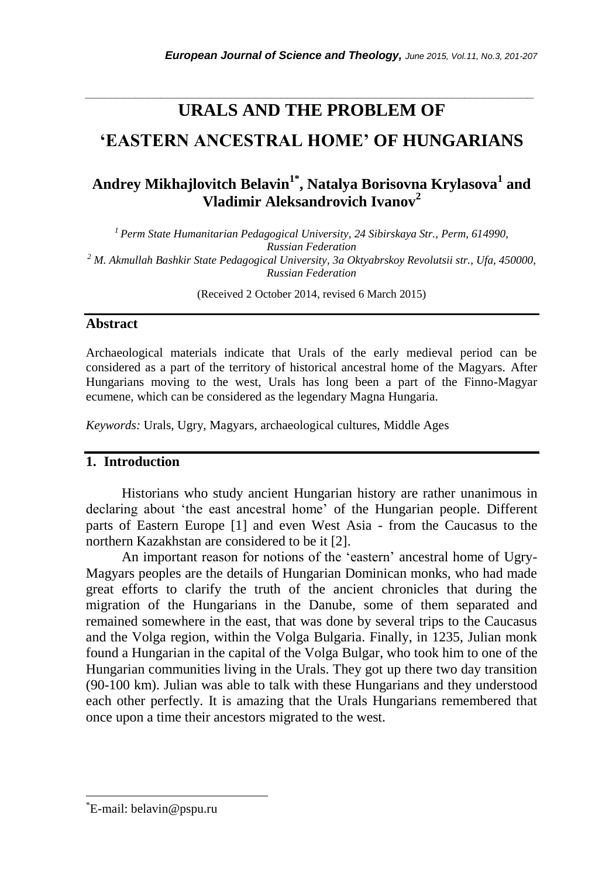## *\_\_\_\_\_\_\_\_\_\_\_\_\_\_\_\_\_\_\_\_\_\_\_\_\_\_\_\_\_\_\_\_\_\_\_\_\_\_\_\_\_\_\_\_\_\_\_\_\_\_\_\_\_\_\_\_\_\_\_\_\_\_\_\_\_\_\_\_\_\_\_* **URALS AND THE PROBLEM OF**

# **'EASTERN ANCESTRAL HOME' OF HUNGARIANS**

# **Andrey Mikhajlovitch Belavin1\* , Natalya Borisovna Krylasova<sup>1</sup> and Vladimir Aleksandrovich Ivanov<sup>2</sup>**

*<sup>1</sup>Perm State Humanitarian Pedagogical University, 24 Sibirskaya Str., Perm, 614990, Russian Federation <sup>2</sup> M. Akmullah Bashkir State Pedagogical University, 3a Oktyabrskoy Revolutsii str., Ufa, 450000, Russian Federation*

(Received 2 October 2014, revised 6 March 2015)

#### **Abstract**

Archaeological materials indicate that Urals of the early medieval period can be considered as a part of the territory of historical ancestral home of the Magyars. After Hungarians moving to the west, Urals has long been a part of the Finno-Magyar ecumene, which can be considered as the legendary Magna Hungaria.

*Keywords:* Urals, Ugry, Magyars, archaeological cultures, Middle Ages

### **1. Introduction**

Historians who study ancient Hungarian history are rather unanimous in declaring about "the east ancestral home" of the Hungarian people. Different parts of Eastern Europe [1] and even West Asia - from the Caucasus to the northern Kazakhstan are considered to be it [2].

An important reason for notions of the "eastern" ancestral home of Ugry-Magyars peoples are the details of Hungarian Dominican monks, who had made great efforts to clarify the truth of the ancient chronicles that during the migration of the Hungarians in the Danube, some of them separated and remained somewhere in the east, that was done by several trips to the Caucasus and the Volga region, within the Volga Bulgaria. Finally, in 1235, Julian monk found a Hungarian in the capital of the Volga Bulgar, who took him to one of the Hungarian communities living in the Urals. They got up there two day transition (90-100 km). Julian was able to talk with these Hungarians and they understood each other perfectly. It is amazing that the Urals Hungarians remembered that once upon a time their ancestors migrated to the west.

l

<sup>\*</sup>E-mail: belavin@pspu.ru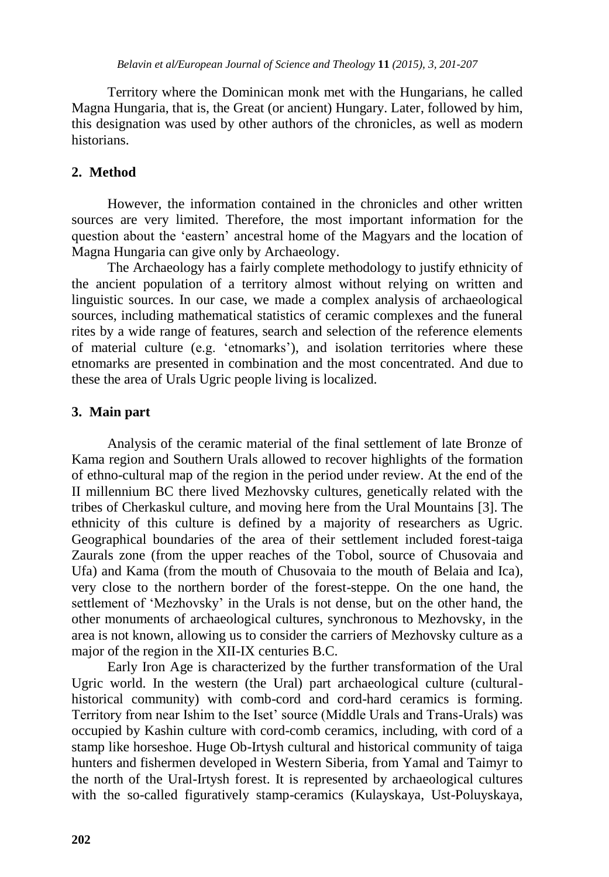Territory where the Dominican monk met with the Hungarians, he called Magna Hungaria, that is, the Great (or ancient) Hungary. Later, followed by him, this designation was used by other authors of the chronicles, as well as modern historians.

## **2. Method**

However, the information contained in the chronicles and other written sources are very limited. Therefore, the most important information for the question about the "eastern" ancestral home of the Magyars and the location of Magna Hungaria can give only by Archaeology.

The Archaeology has a fairly complete methodology to justify ethnicity of the ancient population of a territory almost without relying on written and linguistic sources. In our case, we made a complex analysis of archaeological sources, including mathematical statistics of ceramic complexes and the funeral rites by a wide range of features, search and selection of the reference elements of material culture (e.g. "etnomarks"), and isolation territories where these etnomarks are presented in combination and the most concentrated. And due to these the area of Urals Ugric people living is localized.

### **3. Main part**

Analysis of the ceramic material of the final settlement of late Bronze of Kama region and Southern Urals allowed to recover highlights of the formation of ethno-cultural map of the region in the period under review. At the end of the II millennium BC there lived Mezhovsky cultures, genetically related with the tribes of Cherkaskul culture, and moving here from the Ural Mountains [3]. The ethnicity of this culture is defined by a majority of researchers as Ugric. Geographical boundaries of the area of their settlement included forest-taiga Zaurals zone (from the upper reaches of the Tobol, source of Chusovaia and Ufa) and Kama (from the mouth of Chusovaia to the mouth of Belaia and Ica), very close to the northern border of the forest-steppe. On the one hand, the settlement of "Mezhovsky" in the Urals is not dense, but on the other hand, the other monuments of archaeological cultures, synchronous to Mezhovsky, in the area is not known, allowing us to consider the carriers of Mezhovsky culture as a major of the region in the XII-IX centuries B.C.

Early Iron Age is characterized by the further transformation of the Ural Ugric world. In the western (the Ural) part archaeological culture (culturalhistorical community) with comb-cord and cord-hard ceramics is forming. Territory from near Ishim to the Iset" source (Middle Urals and Trans-Urals) was occupied by Kashin culture with cord-comb ceramics, including, with cord of a stamp like horseshoe. Huge Ob-Irtysh cultural and historical community of taiga hunters and fishermen developed in Western Siberia, from Yamal and Taimyr to the north of the Ural-Irtysh forest. It is represented by archaeological cultures with the so-called figuratively stamp-ceramics (Kulayskaya, Ust-Poluyskaya,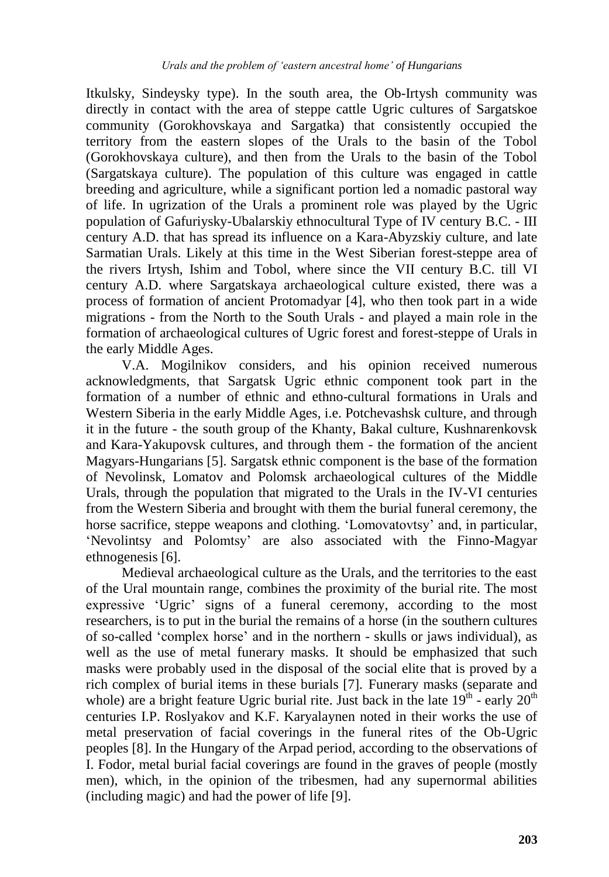Itkulsky, Sindeysky type). In the south area, the Ob-Irtysh community was directly in contact with the area of steppe cattle Ugric cultures of Sargatskoe community (Gorokhovskaya and Sargatka) that consistently occupied the territory from the eastern slopes of the Urals to the basin of the Tobol (Gorokhovskaya culture), and then from the Urals to the basin of the Tobol (Sargatskaya culture). The population of this culture was engaged in cattle breeding and agriculture, while a significant portion led a nomadic pastoral way of life. In ugrization of the Urals a prominent role was played by the Ugric population of Gafuriysky-Ubalarskiy ethnocultural Type of IV century B.C. - III century A.D. that has spread its influence on a Kara-Abyzskiy culture, and late Sarmatian Urals. Likely at this time in the West Siberian forest-steppe area of the rivers Irtysh, Ishim and Tobol, where since the VII century B.C. till VI century A.D. where Sargatskaya archaeological culture existed, there was a process of formation of ancient Protomadyar [4], who then took part in a wide migrations - from the North to the South Urals - and played a main role in the formation of archaeological cultures of Ugric forest and forest-steppe of Urals in the early Middle Ages.

V.A. Mogilnikov considers, and his opinion received numerous acknowledgments, that Sargatsk Ugric ethnic component took part in the formation of a number of ethnic and ethno-cultural formations in Urals and Western Siberia in the early Middle Ages, i.e. Potchevashsk culture, and through it in the future - the south group of the Khanty, Bakal culture, Kushnarenkovsk and Kara-Yakupovsk cultures, and through them - the formation of the ancient Magyars-Hungarians [5]. Sargatsk ethnic component is the base of the formation of Nevolinsk, Lomatov and Polomsk archaeological cultures of the Middle Urals, through the population that migrated to the Urals in the IV-VI centuries from the Western Siberia and brought with them the burial funeral ceremony, the horse sacrifice, steppe weapons and clothing. 'Lomovatovtsy' and, in particular, "Nevolintsy and Polomtsy" are also associated with the Finno-Magyar ethnogenesis [6].

Medieval archaeological culture as the Urals, and the territories to the east of the Ural mountain range, combines the proximity of the burial rite. The most expressive "Ugric" signs of a funeral ceremony, according to the most researchers, is to put in the burial the remains of a horse (in the southern cultures of so-called "complex horse" and in the northern - skulls or jaws individual), as well as the use of metal funerary masks. It should be emphasized that such masks were probably used in the disposal of the social elite that is proved by a rich complex of burial items in these burials [7]. Funerary masks (separate and whole) are a bright feature Ugric burial rite. Just back in the late  $19^{th}$  - early  $20^{th}$ centuries I.P. Roslyakov and K.F. Karyalaynen noted in their works the use of metal preservation of facial coverings in the funeral rites of the Ob-Ugric peoples [8]. In the Hungary of the Arpad period, according to the observations of I. Fodor, metal burial facial coverings are found in the graves of people (mostly men), which, in the opinion of the tribesmen, had any supernormal abilities (including magic) and had the power of life [9].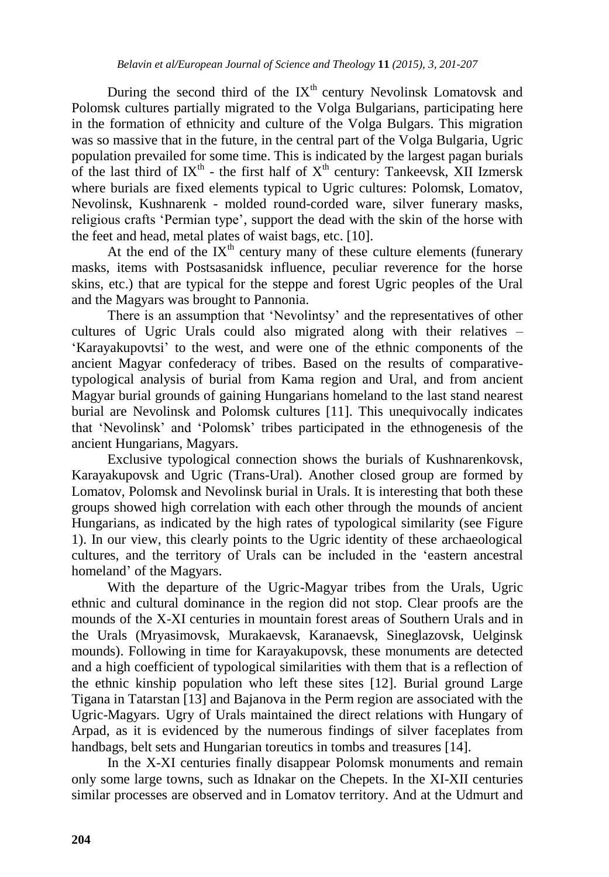During the second third of the  $IX<sup>th</sup>$  century Nevolinsk Lomatovsk and Polomsk cultures partially migrated to the Volga Bulgarians, participating here in the formation of ethnicity and culture of the Volga Bulgars. This migration was so massive that in the future, in the central part of the Volga Bulgaria, Ugric population prevailed for some time. This is indicated by the largest pagan burials of the last third of  $IX<sup>th</sup>$  - the first half of  $X<sup>th</sup>$  century: Tankeevsk, XII Izmersk where burials are fixed elements typical to Ugric cultures: Polomsk, Lomatov, Nevolinsk, Kushnarenk - molded round-corded ware, silver funerary masks, religious crafts "Permian type", support the dead with the skin of the horse with the feet and head, metal plates of waist bags, etc. [10].

At the end of the  $IX<sup>th</sup>$  century many of these culture elements (funerary masks, items with Postsasanidsk influence, peculiar reverence for the horse skins, etc.) that are typical for the steppe and forest Ugric peoples of the Ural and the Magyars was brought to Pannonia.

There is an assumption that "Nevolintsy" and the representatives of other cultures of Ugric Urals could also migrated along with their relatives – "Karayakupovtsi" to the west, and were one of the ethnic components of the ancient Magyar confederacy of tribes. Based on the results of comparativetypological analysis of burial from Kama region and Ural, and from ancient Magyar burial grounds of gaining Hungarians homeland to the last stand nearest burial are Nevolinsk and Polomsk cultures [11]. This unequivocally indicates that "Nevolinsk" and "Polomsk" tribes participated in the ethnogenesis of the ancient Hungarians, Magyars.

Exclusive typological connection shows the burials of Kushnarenkovsk, Karayakupovsk and Ugric (Trans-Ural). Another closed group are formed by Lomatov, Polomsk and Nevolinsk burial in Urals. It is interesting that both these groups showed high correlation with each other through the mounds of ancient Hungarians, as indicated by the high rates of typological similarity (see Figure 1). In our view, this clearly points to the Ugric identity of these archaeological cultures, and the territory of Urals can be included in the "eastern ancestral homeland' of the Magyars.

With the departure of the Ugric-Magyar tribes from the Urals, Ugric ethnic and cultural dominance in the region did not stop. Clear proofs are the mounds of the X-XI centuries in mountain forest areas of Southern Urals and in the Urals (Mryasimovsk, Murakaevsk, Karanaevsk, Sineglazovsk, Uelginsk mounds). Following in time for Karayakupovsk, these monuments are detected and a high coefficient of typological similarities with them that is a reflection of the ethnic kinship population who left these sites [12]. Burial ground Large Tigana in Tatarstan [13] and Bajanova in the Perm region are associated with the Ugric-Magyars. Ugry of Urals maintained the direct relations with Hungary of Arpad, as it is evidenced by the numerous findings of silver faceplates from handbags, belt sets and Hungarian toreutics in tombs and treasures [14].

In the X-XI centuries finally disappear Polomsk monuments and remain only some large towns, such as Idnakar on the Chepets. In the XI-XII centuries similar processes are observed and in Lomatov territory. And at the Udmurt and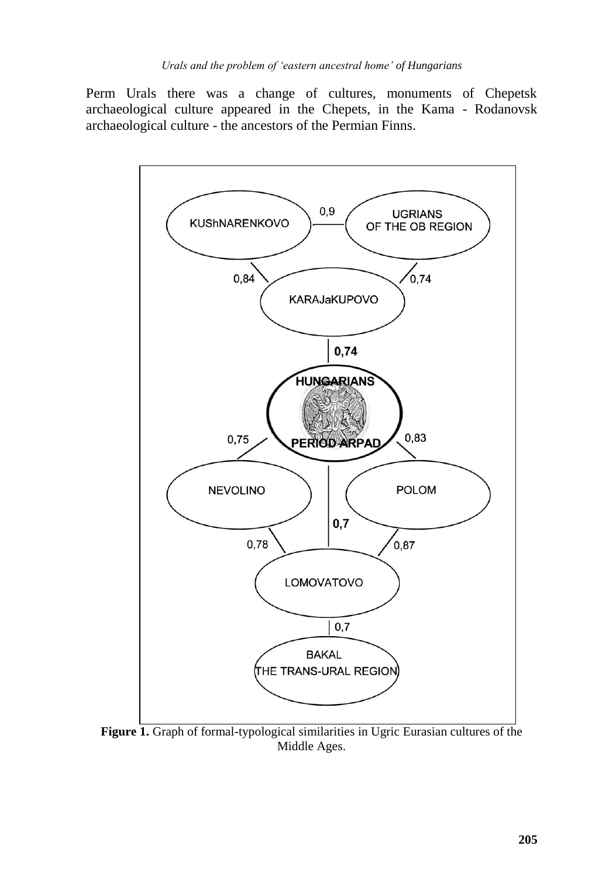Perm Urals there was a change of cultures, monuments of Chepetsk archaeological culture appeared in the Chepets, in the Kama - Rodanovsk archaeological culture - the ancestors of the Permian Finns.



**Figure 1.** Graph of formal-typological similarities in Ugric Eurasian cultures of the Middle Ages.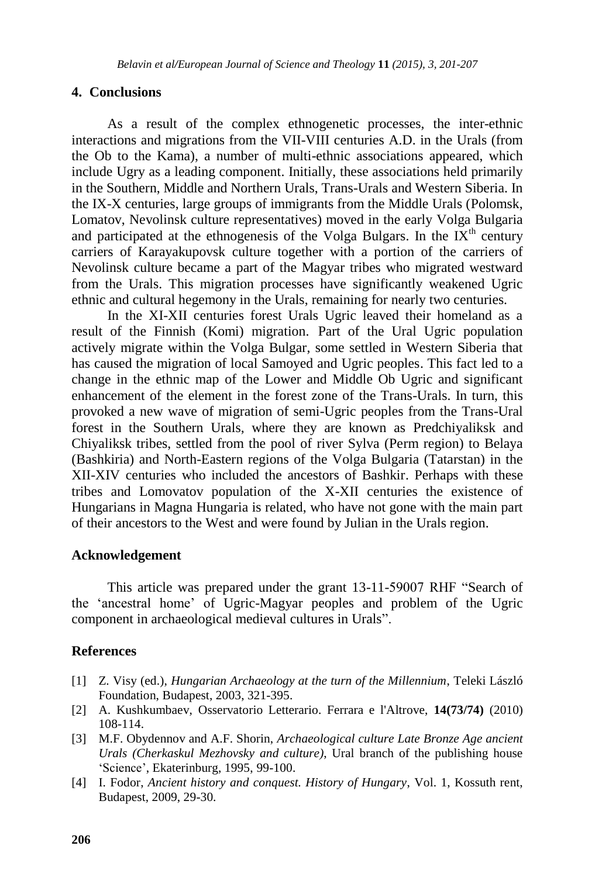### **4. Conclusions**

As a result of the complex ethnogenetic processes, the inter-ethnic interactions and migrations from the VII-VIII centuries A.D. in the Urals (from the Ob to the Kama), a number of multi-ethnic associations appeared, which include Ugry as a leading component. Initially, these associations held primarily in the Southern, Middle and Northern Urals, Trans-Urals and Western Siberia. In the IX-X centuries, large groups of immigrants from the Middle Urals (Polomsk, Lomatov, Nevolinsk culture representatives) moved in the early Volga Bulgaria and participated at the ethnogenesis of the Volga Bulgars. In the  $\tilde{I}X^{th}$  century carriers of Karayakupovsk culture together with a portion of the carriers of Nevolinsk culture became a part of the Magyar tribes who migrated westward from the Urals. This migration processes have significantly weakened Ugric ethnic and cultural hegemony in the Urals, remaining for nearly two centuries.

In the XI-XII centuries forest Urals Ugric leaved their homeland as a result of the Finnish (Komi) migration. Part of the Ural Ugric population actively migrate within the Volga Bulgar, some settled in Western Siberia that has caused the migration of local Samoyed and Ugric peoples. This fact led to a change in the ethnic map of the Lower and Middle Ob Ugric and significant enhancement of the element in the forest zone of the Trans-Urals. In turn, this provoked a new wave of migration of semi-Ugric peoples from the Trans-Ural forest in the Southern Urals, where they are known as Predchiyaliksk and Chiyaliksk tribes, settled from the pool of river Sylva (Perm region) to Belaya (Bashkiria) and North-Eastern regions of the Volga Bulgaria (Tatarstan) in the XII-XIV centuries who included the ancestors of Bashkir. Perhaps with these tribes and Lomovatov population of the X-XII centuries the existence of Hungarians in Magna Hungaria is related, who have not gone with the main part of their ancestors to the West and were found by Julian in the Urals region.

#### **Acknowledgement**

This article was prepared under the grant 13-11-59007 RHF "Search of the "ancestral home" of Ugric-Magyar peoples and problem of the Ugric component in archaeological medieval cultures in Urals".

### **References**

- [1] Z. Visy (ed.), *Hungarian Archaeology at the turn of the Millennium*, Teleki László Foundation, Budapest, 2003, 321-395.
- [2] A. Kushkumbaev, Osservatorio Letterario. Ferrara e l'Altrove, **14(73/74)** (2010) 108-114.
- [3] M.F. Obydennov and A.F. Shorin, *Archaeological culture Late Bronze Age ancient Urals (Cherkaskul Mezhovsky and culture)*, Ural branch of the publishing house "Science", Ekaterinburg, 1995, 99-100.
- [4] I. Fodor, *Ancient history and conquest. History of Hungary*, Vol. 1, Kossuth rent, Budapest, 2009, 29-30.